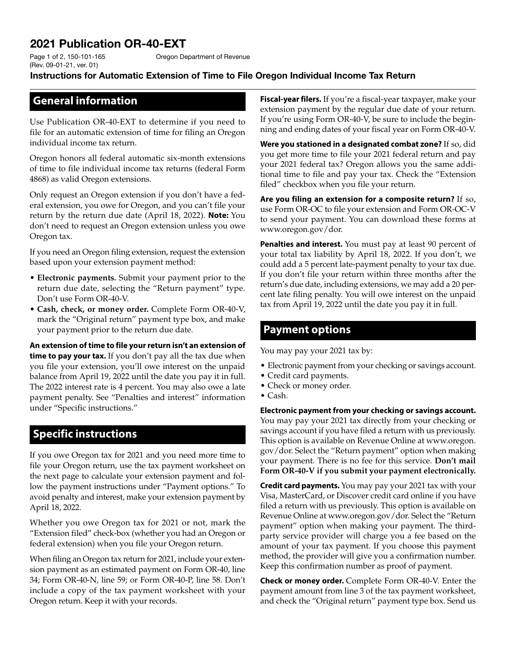# 2021 Publication OR-40-EXT

Oregon Department of Revenue

#### Instructions for Automatic Extension of Time to File Oregon Individual Income Tax Return

#### **General information**

Page 1 of 2, 150-101-165 (Rev. 09-01-21, ver. 01)

Use Publication OR-40-EXT to determine if you need to file for an automatic extension of time for filing an Oregon individual income tax return.

Oregon honors all federal automatic six-month extensions of time to file individual income tax returns (federal Form 4868) as valid Oregon extensions.

Only request an Oregon extension if you don't have a federal extension, you owe for Oregon, and you can't file your return by the return due date (April 18, 2022). **Note:** You don't need to request an Oregon extension unless you owe Oregon tax.

If you need an Oregon filing extension, request the extension based upon your extension payment method:

- **Electronic payments.** Submit your payment prior to the return due date, selecting the "Return payment" type. Don't use Form OR-40-V.
- **Cash, check, or money order.** Complete Form OR-40-V, mark the "Original return" payment type box, and make your payment prior to the return due date.

**An extension of time to file your return isn't an extension of time to pay your tax.** If you don't pay all the tax due when you file your extension, you'll owe interest on the unpaid balance from April 19, 2022 until the date you pay it in full. The 2022 interest rate is 4 percent. You may also owe a late payment penalty. See "Penalties and interest" information under "Specific instructions."

## **Specific instructions**

If you owe Oregon tax for 2021 and you need more time to file your Oregon return, use the tax payment worksheet on the next page to calculate your extension payment and follow the payment instructions under "Payment options." To avoid penalty and interest, make your extension payment by April 18, 2022.

Whether you owe Oregon tax for 2021 or not, mark the "Extension filed" check-box (whether you had an Oregon or federal extension) when you file your Oregon return.

When filing an Oregon tax return for 2021, include your extension payment as an estimated payment on Form OR-40, line 34; Form OR-40-N, line 59; or Form OR-40-P, line 58. Don't include a copy of the tax payment worksheet with your Oregon return. Keep it with your records.

**Fiscal-year filers.** If you're a fiscal-year taxpayer, make your extension payment by the regular due date of your return. If you're using Form OR-40-V, be sure to include the beginning and ending dates of your fiscal year on Form OR-40-V.

**Were you stationed in a designated combat zone?** If so, did you get more time to file your 2021 federal return and pay your 2021 federal tax? Oregon allows you the same additional time to file and pay your tax. Check the "Extension filed" checkbox when you file your return.

**Are you filing an extension for a composite return?** If so, use Form OR-OC to file your extension and Form OR-OC-V to send your payment. You can download these forms at www.oregon.gov/dor.

**Penalties and interest.** You must pay at least 90 percent of your total tax liability by April 18, 2022. If you don't, we could add a 5 percent late-payment penalty to your tax due. If you don't file your return within three months after the return's due date, including extensions, we may add a 20 percent late filing penalty. You will owe interest on the unpaid tax from April 19, 2022 until the date you pay it in full.

#### **Payment options**

You may pay your 2021 tax by:

- Electronic payment from your checking or savings account.
- Credit card payments.
- Check or money order.
- Cash.

**Electronic payment from your checking or savings account.**  You may pay your 2021 tax directly from your checking or savings account if you have filed a return with us previously. This option is available on Revenue Online at www.oregon. gov/dor. Select the "Return payment" option when making your payment. There is no fee for this service. **Don't mail Form OR‑40-V if you submit your payment electronically.**

**Credit card payments.** You may pay your 2021 tax with your Visa, MasterCard, or Discover credit card online if you have filed a return with us previously. This option is available on Revenue Online at www.oregon.gov/dor. Select the "Return payment" option when making your payment. The thirdparty service provider will charge you a fee based on the amount of your tax payment. If you choose this payment method, the provider will give you a confirmation number. Keep this confirmation number as proof of payment.

**Check or money order.** Complete Form OR-40-V. Enter the payment amount from line 3 of the tax payment worksheet, and check the "Original return" payment type box. Send us